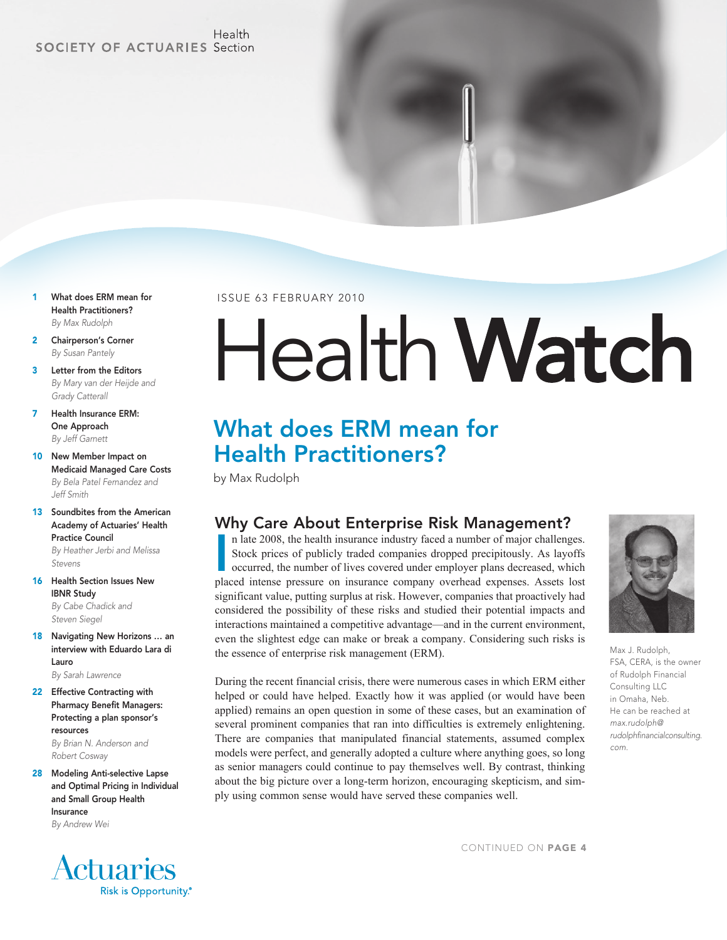#### Health **SOCIETY OF ACTUARIES Section**

- 1 What does ERM mean for Health Practitioners? *By Max Rudolph*
- 2 Chairperson's Corner *By Susan Pantely*
- 3 Letter from the Editors *By Mary van der Heijde and Grady Catterall*
- 7 Health Insurance ERM: One Approach *By Jeff Garnett*
- 10 New Member Impact on Medicaid Managed Care Costs *By Bela Patel Fernandez and Jeff Smith*
- 13 Soundbites from the American Academy of Actuaries' Health Practice Council *By Heather Jerbi and Melissa Stevens*
- 16 Health Section Issues New IBNR Study *By Cabe Chadick and Steven Siegel*
- 18 Navigating New Horizons ... an interview with Eduardo Lara di Lauro *By Sarah Lawrence*
- 22 Effective Contracting with Pharmacy Benefit Managers: Protecting a plan sponsor's resources *By Brian N. Anderson and*

*Robert Cosway*

28 Modeling Anti-selective Lapse and Optimal Pricing in Individual and Small Group Health Insurance *By Andrew Wei*

### **Actuaries** Risk is Opportunity.®

ISSUE 63 FEBRUARY 2010

# HealthWatch

## What does ERM mean for Health Practitioners?

by Max Rudolph

#### Why Care About Enterprise Risk Management?

n late 2008, the health insurance industry faced a number of major challenges.<br>Stock prices of publicly traded companies dropped precipitously. As layoffs<br>occurred, the number of lives covered under employer plans decrease n late 2008, the health insurance industry faced a number of major challenges. Stock prices of publicly traded companies dropped precipitously. As layoffs occurred, the number of lives covered under employer plans decreased, which significant value, putting surplus at risk. However, companies that proactively had considered the possibility of these risks and studied their potential impacts and interactions maintained a competitive advantage—and in the current environment, even the slightest edge can make or break a company. Considering such risks is the essence of enterprise risk management (ERM).

During the recent financial crisis, there were numerous cases in which ERM either helped or could have helped. Exactly how it was applied (or would have been applied) remains an open question in some of these cases, but an examination of several prominent companies that ran into difficulties is extremely enlightening. There are companies that manipulated financial statements, assumed complex models were perfect, and generally adopted a culture where anything goes, so long as senior managers could continue to pay themselves well. By contrast, thinking about the big picture over a long-term horizon, encouraging skepticism, and simply using common sense would have served these companies well.



Max J. Rudolph, FSA, CERA, is the owner of Rudolph Financial Consulting LLC in Omaha, Neb. He can be reached at *max.rudolph@ rudolphfinancialconsulting. com.*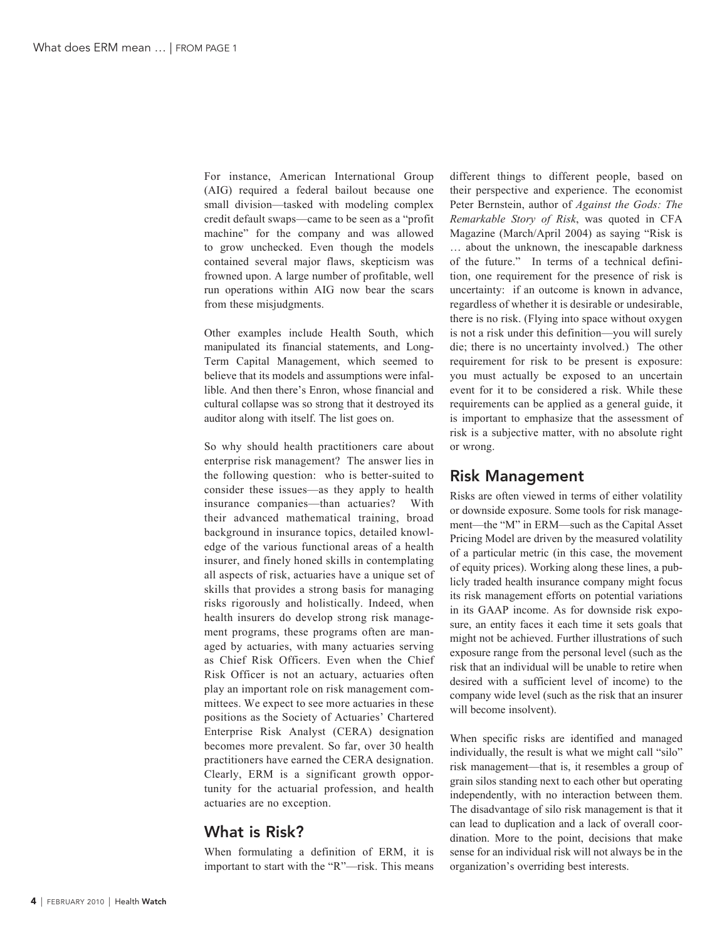For instance, American International Group (AIG) required a federal bailout because one small division—tasked with modeling complex credit default swaps—came to be seen as a "profit machine" for the company and was allowed to grow unchecked. Even though the models contained several major flaws, skepticism was frowned upon. A large number of profitable, well run operations within AIG now bear the scars from these misjudgments.

Other examples include Health South, which manipulated its financial statements, and Long-Term Capital Management, which seemed to believe that its models and assumptions were infallible. And then there's Enron, whose financial and cultural collapse was so strong that it destroyed its auditor along with itself. The list goes on.

So why should health practitioners care about enterprise risk management? The answer lies in the following question: who is better-suited to consider these issues—as they apply to health insurance companies—than actuaries? With their advanced mathematical training, broad background in insurance topics, detailed knowledge of the various functional areas of a health insurer, and finely honed skills in contemplating all aspects of risk, actuaries have a unique set of skills that provides a strong basis for managing risks rigorously and holistically. Indeed, when health insurers do develop strong risk management programs, these programs often are managed by actuaries, with many actuaries serving as Chief Risk Officers. Even when the Chief Risk Officer is not an actuary, actuaries often play an important role on risk management committees. We expect to see more actuaries in these positions as the Society of Actuaries' Chartered Enterprise Risk Analyst (CERA) designation becomes more prevalent. So far, over 30 health practitioners have earned the CERA designation. Clearly, ERM is a significant growth opportunity for the actuarial profession, and health actuaries are no exception.

#### What is Risk?

When formulating a definition of ERM, it is important to start with the "R"—risk. This means different things to different people, based on their perspective and experience. The economist Peter Bernstein, author of *Against the Gods: The Remarkable Story of Risk*, was quoted in CFA Magazine (March/April 2004) as saying "Risk is … about the unknown, the inescapable darkness of the future." In terms of a technical definition, one requirement for the presence of risk is uncertainty: if an outcome is known in advance, regardless of whether it is desirable or undesirable, there is no risk. (Flying into space without oxygen is not a risk under this definition—you will surely die; there is no uncertainty involved.) The other requirement for risk to be present is exposure: you must actually be exposed to an uncertain event for it to be considered a risk. While these requirements can be applied as a general guide, it is important to emphasize that the assessment of risk is a subjective matter, with no absolute right or wrong.

#### Risk Management

Risks are often viewed in terms of either volatility or downside exposure. Some tools for risk management—the "M" in ERM—such as the Capital Asset Pricing Model are driven by the measured volatility of a particular metric (in this case, the movement of equity prices). Working along these lines, a publicly traded health insurance company might focus its risk management efforts on potential variations in its GAAP income. As for downside risk exposure, an entity faces it each time it sets goals that might not be achieved. Further illustrations of such exposure range from the personal level (such as the risk that an individual will be unable to retire when desired with a sufficient level of income) to the company wide level (such as the risk that an insurer will become insolvent).

When specific risks are identified and managed individually, the result is what we might call "silo" risk management—that is, it resembles a group of grain silos standing next to each other but operating independently, with no interaction between them. The disadvantage of silo risk management is that it can lead to duplication and a lack of overall coordination. More to the point, decisions that make sense for an individual risk will not always be in the organization's overriding best interests.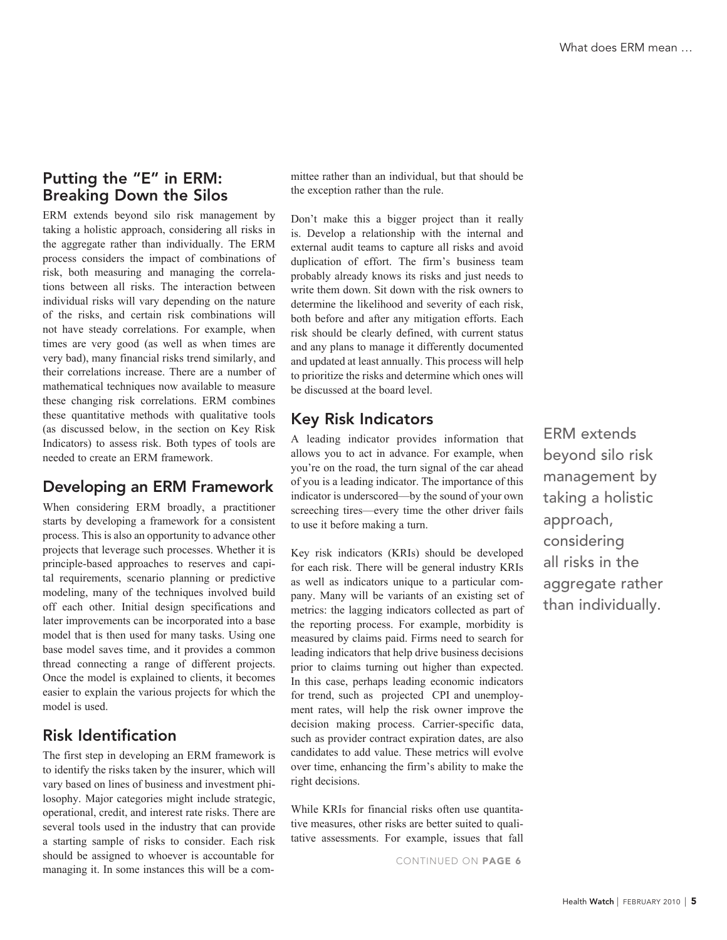#### Putting the "E" in ERM: Breaking Down the Silos

ERM extends beyond silo risk management by taking a holistic approach, considering all risks in the aggregate rather than individually. The ERM process considers the impact of combinations of risk, both measuring and managing the correlations between all risks. The interaction between individual risks will vary depending on the nature of the risks, and certain risk combinations will not have steady correlations. For example, when times are very good (as well as when times are very bad), many financial risks trend similarly, and their correlations increase. There are a number of mathematical techniques now available to measure these changing risk correlations. ERM combines these quantitative methods with qualitative tools (as discussed below, in the section on Key Risk Indicators) to assess risk. Both types of tools are needed to create an ERM framework.

#### Developing an ERM Framework

When considering ERM broadly, a practitioner starts by developing a framework for a consistent process. This is also an opportunity to advance other projects that leverage such processes. Whether it is principle-based approaches to reserves and capital requirements, scenario planning or predictive modeling, many of the techniques involved build off each other. Initial design specifications and later improvements can be incorporated into a base model that is then used for many tasks. Using one base model saves time, and it provides a common thread connecting a range of different projects. Once the model is explained to clients, it becomes easier to explain the various projects for which the model is used.

#### Risk Identification

The first step in developing an ERM framework is to identify the risks taken by the insurer, which will vary based on lines of business and investment philosophy. Major categories might include strategic, operational, credit, and interest rate risks. There are several tools used in the industry that can provide a starting sample of risks to consider. Each risk should be assigned to whoever is accountable for managing it. In some instances this will be a committee rather than an individual, but that should be the exception rather than the rule.

Don't make this a bigger project than it really is. Develop a relationship with the internal and external audit teams to capture all risks and avoid duplication of effort. The firm's business team probably already knows its risks and just needs to write them down. Sit down with the risk owners to determine the likelihood and severity of each risk, both before and after any mitigation efforts. Each risk should be clearly defined, with current status and any plans to manage it differently documented and updated at least annually. This process will help to prioritize the risks and determine which ones will be discussed at the board level.

#### Key Risk Indicators

A leading indicator provides information that allows you to act in advance. For example, when you're on the road, the turn signal of the car ahead of you is a leading indicator. The importance of this indicator is underscored—by the sound of your own screeching tires—every time the other driver fails to use it before making a turn.

Key risk indicators (KRIs) should be developed for each risk. There will be general industry KRIs as well as indicators unique to a particular company. Many will be variants of an existing set of metrics: the lagging indicators collected as part of the reporting process. For example, morbidity is measured by claims paid. Firms need to search for leading indicators that help drive business decisions prior to claims turning out higher than expected. In this case, perhaps leading economic indicators for trend, such as projected CPI and unemployment rates, will help the risk owner improve the decision making process. Carrier-specific data, such as provider contract expiration dates, are also candidates to add value. These metrics will evolve over time, enhancing the firm's ability to make the right decisions.

While KRIs for financial risks often use quantitative measures, other risks are better suited to qualitative assessments. For example, issues that fall

CONTINUED ON PAGE 6

ERM extends beyond silo risk management by taking a holistic approach, considering all risks in the aggregate rather than individually.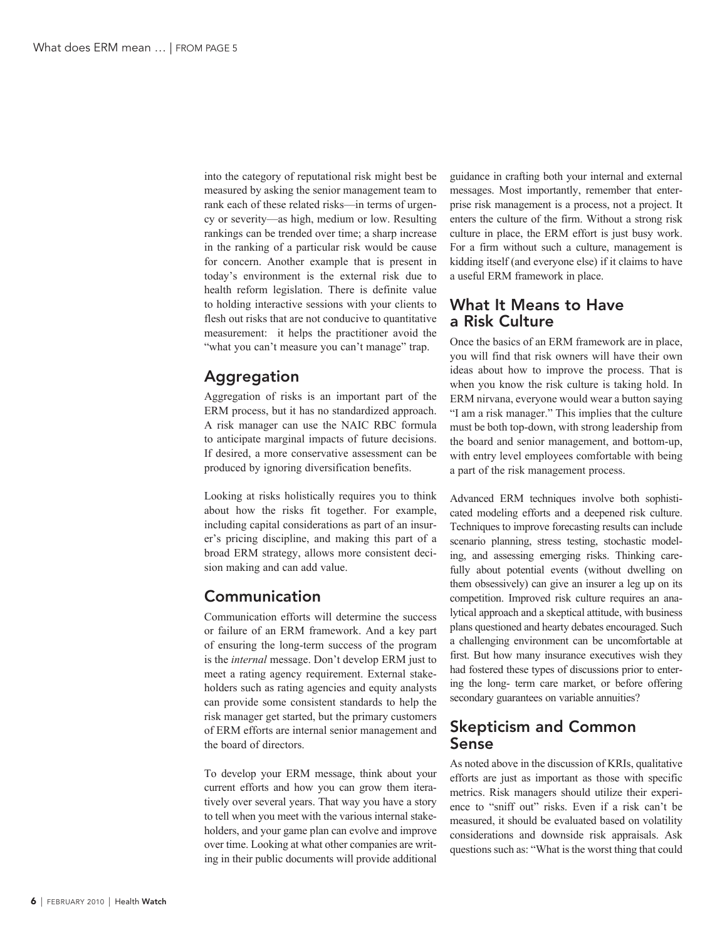into the category of reputational risk might best be measured by asking the senior management team to rank each of these related risks—in terms of urgency or severity—as high, medium or low. Resulting rankings can be trended over time; a sharp increase in the ranking of a particular risk would be cause for concern. Another example that is present in today's environment is the external risk due to health reform legislation. There is definite value to holding interactive sessions with your clients to flesh out risks that are not conducive to quantitative measurement: it helps the practitioner avoid the "what you can't measure you can't manage" trap.

#### Aggregation

Aggregation of risks is an important part of the ERM process, but it has no standardized approach. A risk manager can use the NAIC RBC formula to anticipate marginal impacts of future decisions. If desired, a more conservative assessment can be produced by ignoring diversification benefits.

Looking at risks holistically requires you to think about how the risks fit together. For example, including capital considerations as part of an insurer's pricing discipline, and making this part of a broad ERM strategy, allows more consistent decision making and can add value.

#### Communication

Communication efforts will determine the success or failure of an ERM framework. And a key part of ensuring the long-term success of the program is the *internal* message. Don't develop ERM just to meet a rating agency requirement. External stakeholders such as rating agencies and equity analysts can provide some consistent standards to help the risk manager get started, but the primary customers of ERM efforts are internal senior management and the board of directors.

To develop your ERM message, think about your current efforts and how you can grow them iteratively over several years. That way you have a story to tell when you meet with the various internal stakeholders, and your game plan can evolve and improve over time. Looking at what other companies are writing in their public documents will provide additional

guidance in crafting both your internal and external messages. Most importantly, remember that enterprise risk management is a process, not a project. It enters the culture of the firm. Without a strong risk culture in place, the ERM effort is just busy work. For a firm without such a culture, management is kidding itself (and everyone else) if it claims to have a useful ERM framework in place.

#### What It Means to Have a Risk Culture

Once the basics of an ERM framework are in place, you will find that risk owners will have their own ideas about how to improve the process. That is when you know the risk culture is taking hold. In ERM nirvana, everyone would wear a button saying "I am a risk manager." This implies that the culture must be both top-down, with strong leadership from the board and senior management, and bottom-up, with entry level employees comfortable with being a part of the risk management process.

Advanced ERM techniques involve both sophisticated modeling efforts and a deepened risk culture. Techniques to improve forecasting results can include scenario planning, stress testing, stochastic modeling, and assessing emerging risks. Thinking carefully about potential events (without dwelling on them obsessively) can give an insurer a leg up on its competition. Improved risk culture requires an analytical approach and a skeptical attitude, with business plans questioned and hearty debates encouraged. Such a challenging environment can be uncomfortable at first. But how many insurance executives wish they had fostered these types of discussions prior to entering the long- term care market, or before offering secondary guarantees on variable annuities?

#### Skepticism and Common Sense

As noted above in the discussion of KRIs, qualitative efforts are just as important as those with specific metrics. Risk managers should utilize their experience to "sniff out" risks. Even if a risk can't be measured, it should be evaluated based on volatility considerations and downside risk appraisals. Ask questions such as: "What is the worst thing that could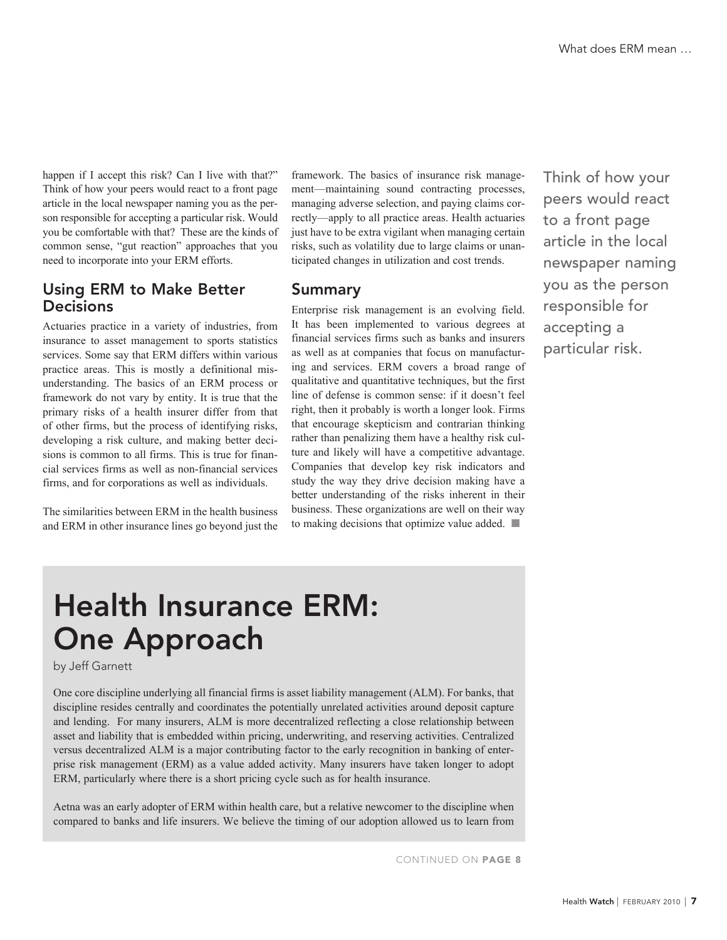happen if I accept this risk? Can I live with that?" Think of how your peers would react to a front page article in the local newspaper naming you as the person responsible for accepting a particular risk. Would you be comfortable with that? These are the kinds of common sense, "gut reaction" approaches that you need to incorporate into your ERM efforts.

#### Using ERM to Make Better **Decisions**

Actuaries practice in a variety of industries, from insurance to asset management to sports statistics services. Some say that ERM differs within various practice areas. This is mostly a definitional misunderstanding. The basics of an ERM process or framework do not vary by entity. It is true that the primary risks of a health insurer differ from that of other firms, but the process of identifying risks, developing a risk culture, and making better decisions is common to all firms. This is true for financial services firms as well as non-financial services firms, and for corporations as well as individuals.

The similarities between ERM in the health business and ERM in other insurance lines go beyond just the

framework. The basics of insurance risk management—maintaining sound contracting processes, managing adverse selection, and paying claims correctly—apply to all practice areas. Health actuaries just have to be extra vigilant when managing certain risks, such as volatility due to large claims or unanticipated changes in utilization and cost trends.

#### Summary

Enterprise risk management is an evolving field. It has been implemented to various degrees at financial services firms such as banks and insurers as well as at companies that focus on manufacturing and services. ERM covers a broad range of qualitative and quantitative techniques, but the first line of defense is common sense: if it doesn't feel right, then it probably is worth a longer look. Firms that encourage skepticism and contrarian thinking rather than penalizing them have a healthy risk culture and likely will have a competitive advantage. Companies that develop key risk indicators and study the way they drive decision making have a better understanding of the risks inherent in their business. These organizations are well on their way to making decisions that optimize value added.  $\blacksquare$ 

Think of how your peers would react to a front page article in the local newspaper naming you as the person responsible for accepting a particular risk.

# Health Insurance ERM: One Approach

by Jeff Garnett

One core discipline underlying all financial firms is asset liability management (ALM). For banks, that discipline resides centrally and coordinates the potentially unrelated activities around deposit capture and lending. For many insurers, ALM is more decentralized reflecting a close relationship between asset and liability that is embedded within pricing, underwriting, and reserving activities. Centralized versus decentralized ALM is a major contributing factor to the early recognition in banking of enterprise risk management (ERM) as a value added activity. Many insurers have taken longer to adopt ERM, particularly where there is a short pricing cycle such as for health insurance.

Aetna was an early adopter of ERM within health care, but a relative newcomer to the discipline when compared to banks and life insurers. We believe the timing of our adoption allowed us to learn from

CONTINUED ON PAGE 8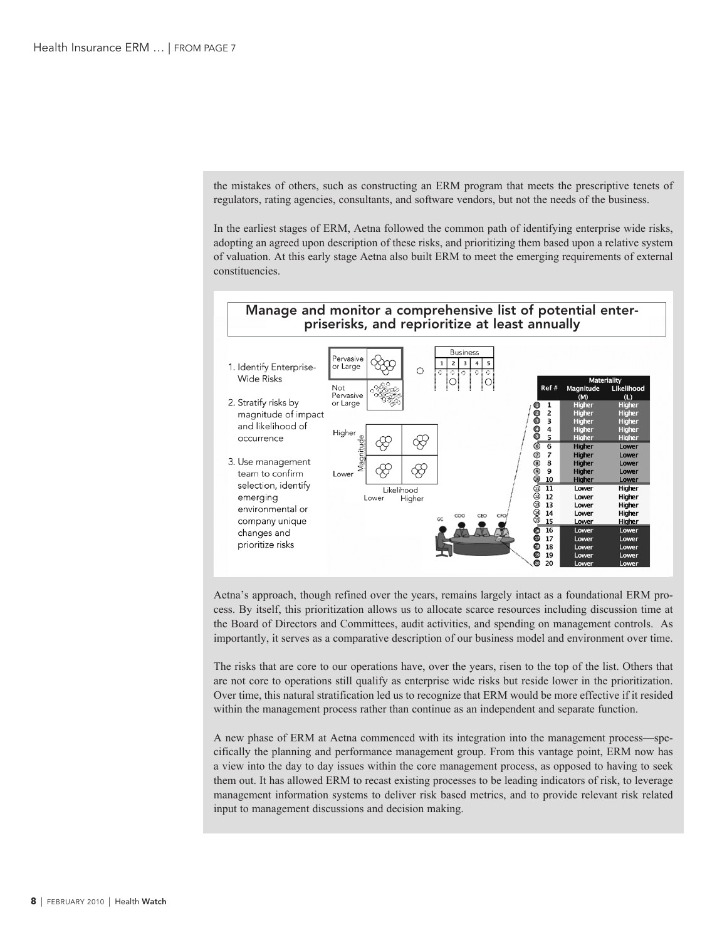the mistakes of others, such as constructing an ERM program that meets the prescriptive tenets of regulators, rating agencies, consultants, and software vendors, but not the needs of the business.

In the earliest stages of ERM, Aetna followed the common path of identifying enterprise wide risks, adopting an agreed upon description of these risks, and prioritizing them based upon a relative system of valuation. At this early stage Aetna also built ERM to meet the emerging requirements of external constituencies.



Aetna's approach, though refined over the years, remains largely intact as a foundational ERM process. By itself, this prioritization allows us to allocate scarce resources including discussion time at the Board of Directors and Committees, audit activities, and spending on management controls. As importantly, it serves as a comparative description of our business model and environment over time.

The risks that are core to our operations have, over the years, risen to the top of the list. Others that are not core to operations still qualify as enterprise wide risks but reside lower in the prioritization. Over time, this natural stratification led us to recognize that ERM would be more effective if it resided within the management process rather than continue as an independent and separate function.

A new phase of ERM at Aetna commenced with its integration into the management process—specifically the planning and performance management group. From this vantage point, ERM now has a view into the day to day issues within the core management process, as opposed to having to seek them out. It has allowed ERM to recast existing processes to be leading indicators of risk, to leverage management information systems to deliver risk based metrics, and to provide relevant risk related input to management discussions and decision making.